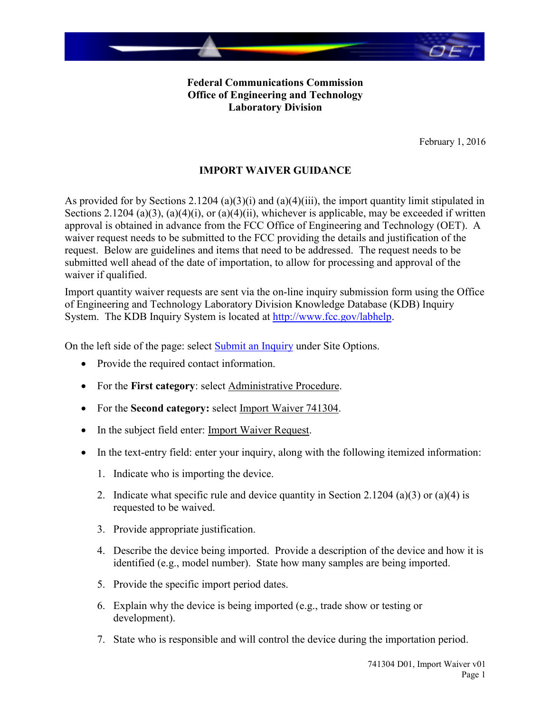

**Federal Communications Commission Office of Engineering and Technology Laboratory Division**

February 1, 2016

## **IMPORT WAIVER GUIDANCE**

As provided for by Sections 2.1204 (a)(3)(i) and (a)(4)(iii), the import quantity limit stipulated in Sections 2.1204 (a)(3), (a)(4)(i), or (a)(4)(ii), whichever is applicable, may be exceeded if written approval is obtained in advance from the FCC Office of Engineering and Technology (OET). A waiver request needs to be submitted to the FCC providing the details and justification of the request. Below are guidelines and items that need to be addressed. The request needs to be submitted well ahead of the date of importation, to allow for processing and approval of the waiver if qualified.

Import quantity waiver requests are sent via the on-line inquiry submission form using the Office of Engineering and Technology Laboratory Division Knowledge Database (KDB) Inquiry System. The KDB Inquiry System is located at [http://www.fcc.gov/labhelp.](http://www.fcc.gov/labhelp)

On the left side of the page: select [Submit an Inquiry](https://apps.fcc.gov/oetcf/kdb/forms/InquiryForm.cfm) under Site Options.

- Provide the required contact information.
- For the **First category**: select Administrative Procedure.
- For the **Second category:** select Import Waiver 741304.
- In the subject field enter: Import Waiver Request.
- In the text-entry field: enter your inquiry, along with the following itemized information:
	- 1. Indicate who is importing the device.
	- 2. Indicate what specific rule and device quantity in Section 2.1204 (a)(3) or (a)(4) is requested to be waived.
	- 3. Provide appropriate justification.
	- 4. Describe the device being imported. Provide a description of the device and how it is identified (e.g., model number). State how many samples are being imported.
	- 5. Provide the specific import period dates.
	- 6. Explain why the device is being imported (e.g., trade show or testing or development).
	- 7. State who is responsible and will control the device during the importation period.